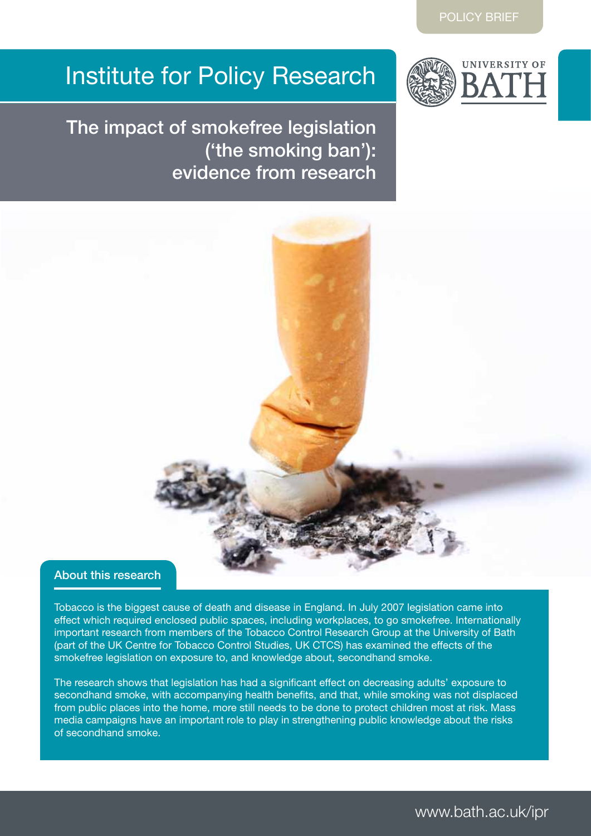# Institute for Policy Research



The impact of smokefree legislation ('the smoking ban'): evidence from research



## About this research

Tobacco is the biggest cause of death and disease in England. In July 2007 legislation came into effect which required enclosed public spaces, including workplaces, to go smokefree. Internationally important research from members of the Tobacco Control Research Group at the University of Bath (part of the UK Centre for Tobacco Control Studies, UK CTCS) has examined the effects of the smokefree legislation on exposure to, and knowledge about, secondhand smoke.

The research shows that legislation has had a significant effect on decreasing adults' exposure to secondhand smoke, with accompanying health benefits, and that, while smoking was not displaced from public places into the home, more still needs to be done to protect children most at risk. Mass media campaigns have an important role to play in strengthening public knowledge about the risks of secondhand smoke.

www.bath.ac.uk/ipr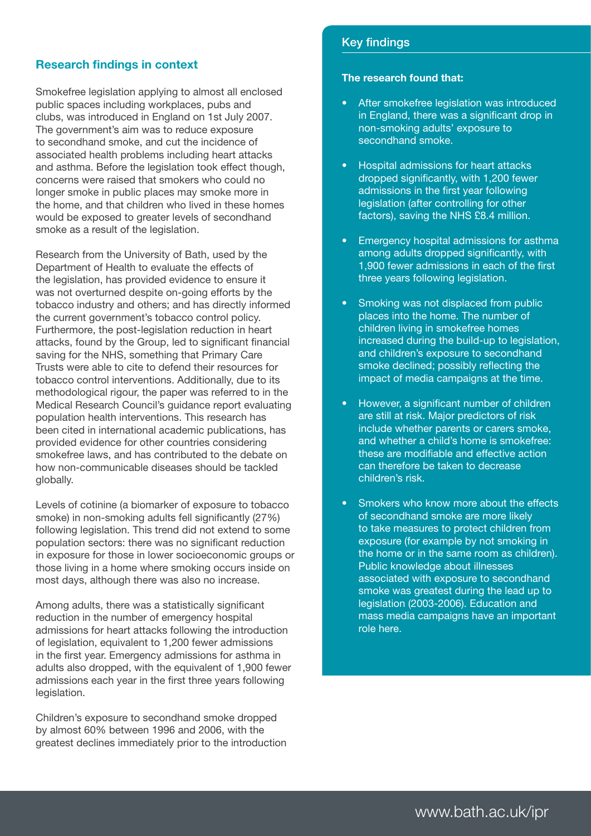# Research findings in context

Smokefree legislation applying to almost all enclosed public spaces including workplaces, pubs and clubs, was introduced in England on 1st July 2007. The government's aim was to reduce exposure to secondhand smoke, and cut the incidence of associated health problems including heart attacks and asthma. Before the legislation took effect though, concerns were raised that smokers who could no longer smoke in public places may smoke more in the home, and that children who lived in these homes would be exposed to greater levels of secondhand smoke as a result of the legislation.

Research from the University of Bath, used by the Department of Health to evaluate the effects of the legislation, has provided evidence to ensure it was not overturned despite on-going efforts by the tobacco industry and others; and has directly informed the current government's tobacco control policy. Furthermore, the post-legislation reduction in heart attacks, found by the Group, led to significant financial saving for the NHS, something that Primary Care Trusts were able to cite to defend their resources for tobacco control interventions. Additionally, due to its methodological rigour, the paper was referred to in the Medical Research Council's guidance report evaluating population health interventions. This research has been cited in international academic publications, has provided evidence for other countries considering smokefree laws, and has contributed to the debate on how non-communicable diseases should be tackled globally.

Levels of cotinine (a biomarker of exposure to tobacco smoke) in non-smoking adults fell significantly (27%) following legislation. This trend did not extend to some population sectors: there was no significant reduction in exposure for those in lower socioeconomic groups or those living in a home where smoking occurs inside on most days, although there was also no increase.

Among adults, there was a statistically significant reduction in the number of emergency hospital admissions for heart attacks following the introduction of legislation, equivalent to 1,200 fewer admissions in the first year. Emergency admissions for asthma in adults also dropped, with the equivalent of 1,900 fewer admissions each year in the first three years following legislation.

Children's exposure to secondhand smoke dropped by almost 60% between 1996 and 2006, with the greatest declines immediately prior to the introduction

### Key findings

#### The research found that:

- After smokefree legislation was introduced in England, there was a significant drop in non-smoking adults' exposure to secondhand smoke.
- **Hospital admissions for heart attacks** dropped significantly, with 1,200 fewer admissions in the first year following legislation (after controlling for other factors), saving the NHS £8.4 million.
- Emergency hospital admissions for asthma among adults dropped significantly, with 1,900 fewer admissions in each of the first three years following legislation.
- Smoking was not displaced from public places into the home. The number of children living in smokefree homes increased during the build-up to legislation, and children's exposure to secondhand smoke declined; possibly reflecting the impact of media campaigns at the time.
- However, a significant number of children are still at risk. Major predictors of risk include whether parents or carers smoke, and whether a child's home is smokefree: these are modifiable and effective action can therefore be taken to decrease children's risk.
- Smokers who know more about the effects of secondhand smoke are more likely to take measures to protect children from exposure (for example by not smoking in the home or in the same room as children). Public knowledge about illnesses associated with exposure to secondhand smoke was greatest during the lead up to legislation (2003-2006). Education and mass media campaigns have an important role here.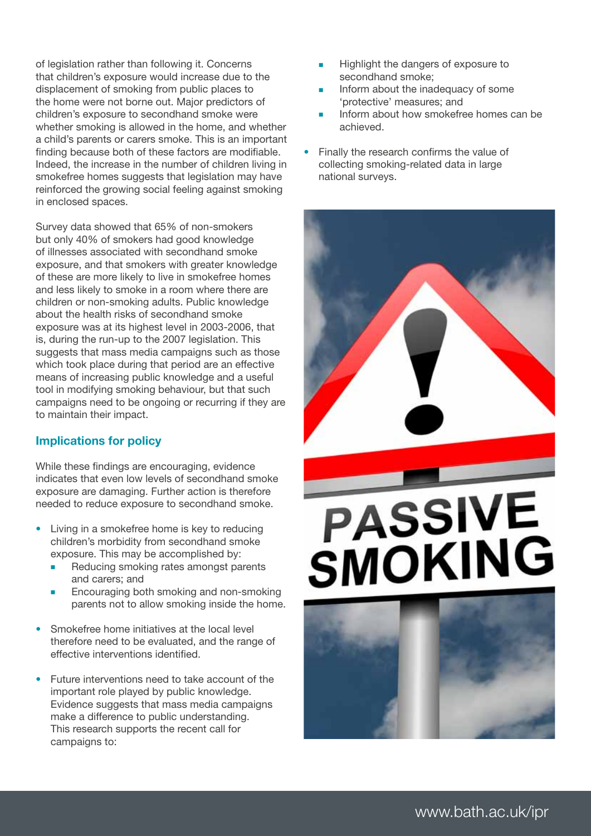of legislation rather than following it. Concerns that children's exposure would increase due to the displacement of smoking from public places to the home were not borne out. Major predictors of children's exposure to secondhand smoke were whether smoking is allowed in the home, and whether a child's parents or carers smoke. This is an important finding because both of these factors are modifiable. Indeed, the increase in the number of children living in smokefree homes suggests that legislation may have reinforced the growing social feeling against smoking in enclosed spaces.

Survey data showed that 65% of non-smokers but only 40% of smokers had good knowledge of illnesses associated with secondhand smoke exposure, and that smokers with greater knowledge of these are more likely to live in smokefree homes and less likely to smoke in a room where there are children or non-smoking adults. Public knowledge about the health risks of secondhand smoke exposure was at its highest level in 2003-2006, that is, during the run-up to the 2007 legislation. This suggests that mass media campaigns such as those which took place during that period are an effective means of increasing public knowledge and a useful tool in modifying smoking behaviour, but that such campaigns need to be ongoing or recurring if they are to maintain their impact.

# Implications for policy

While these findings are encouraging, evidence indicates that even low levels of secondhand smoke exposure are damaging. Further action is therefore needed to reduce exposure to secondhand smoke.

- Living in a smokefree home is key to reducing children's morbidity from secondhand smoke exposure. This may be accomplished by:
	- Reducing smoking rates amongst parents and carers; and
	- Encouraging both smoking and non-smoking parents not to allow smoking inside the home.
- Smokefree home initiatives at the local level therefore need to be evaluated, and the range of effective interventions identified.
- Future interventions need to take account of the important role played by public knowledge. Evidence suggests that mass media campaigns make a difference to public understanding. This research supports the recent call for campaigns to:
- Highlight the dangers of exposure to secondhand smoke;
- Inform about the inadequacy of some 'protective' measures; and
- Inform about how smokefree homes can be achieved.
- Finally the research confirms the value of collecting smoking-related data in large national surveys.